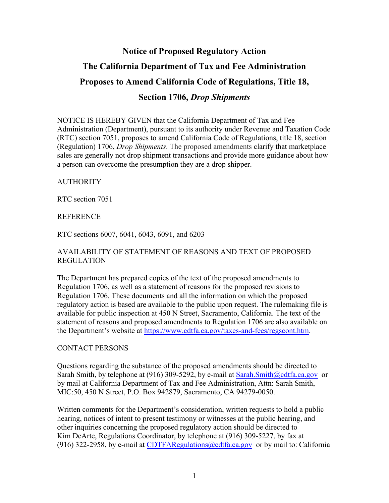# **Notice of Proposed Regulatory Action The California Department of Tax and Fee Administration Proposes to Amend California Code of Regulations, Title 18, Section 1706,** *Drop Shipments*

NOTICE IS HEREBY GIVEN that the California Department of Tax and Fee Administration (Department), pursuant to its authority under Revenue and Taxation Code (RTC) section 7051, proposes to amend California Code of Regulations, title 18, section (Regulation) 1706, *Drop Shipments*. The proposed amendments clarify that marketplace sales are generally not drop shipment transactions and provide more guidance about how a person can overcome the presumption they are a drop shipper.

AUTHORITY

RTC section 7051

**REFERENCE** 

RTC sections 6007, 6041, 6043, 6091, and 6203

### AVAILABILITY OF STATEMENT OF REASONS AND TEXT OF PROPOSED REGULATION

The Department has prepared copies of the text of the proposed amendments to Regulation 1706, as well as a statement of reasons for the proposed revisions to Regulation 1706. These documents and all the information on which the proposed regulatory action is based are available to the public upon request. The rulemaking file is available for public inspection at 450 N Street, Sacramento, California. The text of the statement of reasons and proposed amendments to Regulation 1706 are also available on the Department's website at [https://www.cdtfa.ca.gov/taxes-and-fees/regscont.htm.](https://www.cdtfa.ca.gov/taxes-and-fees/regscont.htm)

#### CONTACT PERSONS

Questions regarding the substance of the proposed amendments should be directed to Sarah Smith, by telephone at (916) 309-5292, by e-mail at Sarah. Smith@cdtfa.ca.gov or by mail at California Department of Tax and Fee Administration, Attn: Sarah Smith, MIC:50, 450 N Street, P.O. Box 942879, Sacramento, CA 94279-0050.

Written comments for the Department's consideration, written requests to hold a public hearing, notices of intent to present testimony or witnesses at the public hearing, and other inquiries concerning the proposed regulatory action should be directed to Kim DeArte, Regulations Coordinator, by telephone at (916) 309-5227, by fax at (916) 322-2958, by e-mail at CDTFARegulations  $@cdtfa.ca.gov$  or by mail to: California